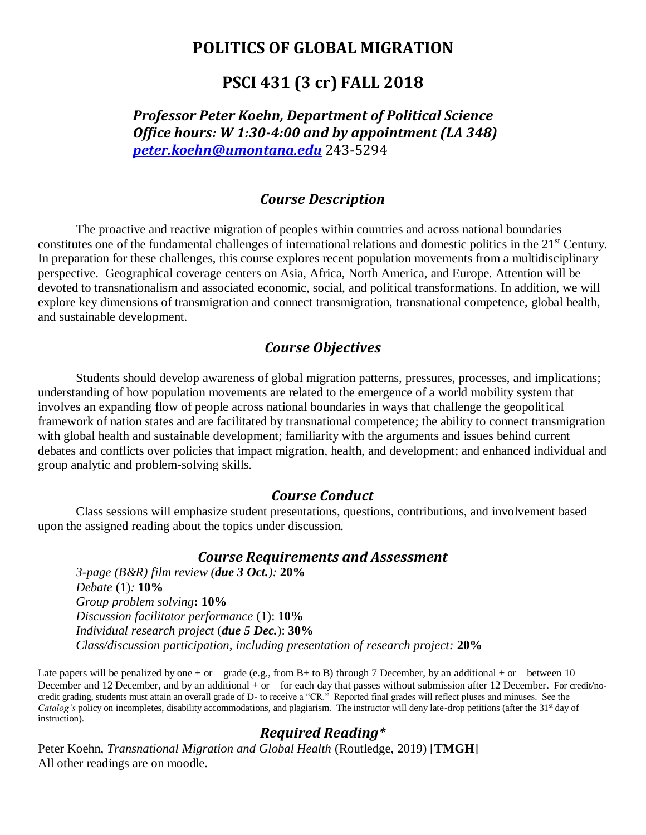# **POLITICS OF GLOBAL MIGRATION**

# **PSCI 431 (3 cr) FALL 2018**

*Professor Peter Koehn, Department of Political Science Office hours: W 1:30-4:00 and by appointment (LA 348) [peter.koehn@umontana.edu](mailto:peter.koehn@umontana.edu)* 243-5294

#### *Course Description*

The proactive and reactive migration of peoples within countries and across national boundaries constitutes one of the fundamental challenges of international relations and domestic politics in the 21<sup>st</sup> Century. In preparation for these challenges, this course explores recent population movements from a multidisciplinary perspective. Geographical coverage centers on Asia, Africa, North America, and Europe. Attention will be devoted to transnationalism and associated economic, social, and political transformations. In addition, we will explore key dimensions of transmigration and connect transmigration, transnational competence, global health, and sustainable development.

#### *Course Objectives*

Students should develop awareness of global migration patterns, pressures, processes, and implications; understanding of how population movements are related to the emergence of a world mobility system that involves an expanding flow of people across national boundaries in ways that challenge the geopolitical framework of nation states and are facilitated by transnational competence; the ability to connect transmigration with global health and sustainable development; familiarity with the arguments and issues behind current debates and conflicts over policies that impact migration, health, and development; and enhanced individual and group analytic and problem-solving skills.

#### *Course Conduct*

Class sessions will emphasize student presentations, questions, contributions, and involvement based upon the assigned reading about the topics under discussion.

#### *Course Requirements and Assessment*

*3-page (B&R) film review (due 3 Oct.):* **20%** *Debate* (1)*:* **10%** *Group problem solving***: 10%** *Discussion facilitator performance* (1): **10%** *Individual research project* (*due 5 Dec.*): **30%** *Class/discussion participation, including presentation of research project:* **20%**

Late papers will be penalized by one + or – grade (e.g., from B+ to B) through 7 December, by an additional + or – between 10 December and 12 December, and by an additional + or – for each day that passes without submission after 12 December. For credit/nocredit grading, students must attain an overall grade of D- to receive a "CR." Reported final grades will reflect pluses and minuses. See the *Catalog's* policy on incompletes, disability accommodations, and plagiarism. The instructor will deny late-drop petitions (after the 31<sup>st</sup> day of instruction).

### *Required Reading\**

Peter Koehn, *Transnational Migration and Global Health* (Routledge, 2019) [**TMGH**] All other readings are on moodle.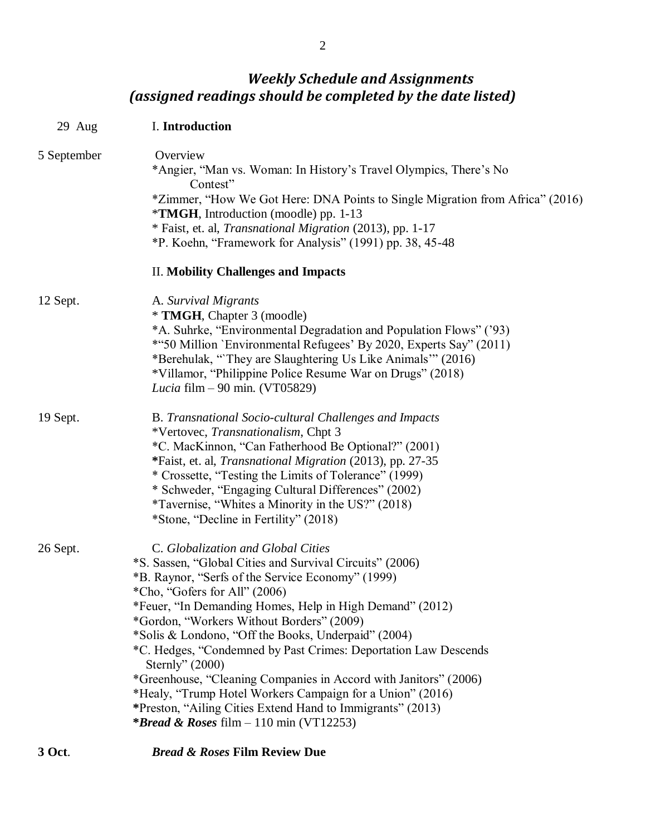# *Weekly Schedule and Assignments (assigned readings should be completed by the date listed)*

| $29$ Aug    | I. Introduction                                                                                                                                                                                                                                                                                                                                                                                                                                                                                                                                                                                                                                                                                    |
|-------------|----------------------------------------------------------------------------------------------------------------------------------------------------------------------------------------------------------------------------------------------------------------------------------------------------------------------------------------------------------------------------------------------------------------------------------------------------------------------------------------------------------------------------------------------------------------------------------------------------------------------------------------------------------------------------------------------------|
| 5 September | Overview<br>*Angier, "Man vs. Woman: In History's Travel Olympics, There's No<br>Contest"<br>*Zimmer, "How We Got Here: DNA Points to Single Migration from Africa" (2016)<br>*TMGH, Introduction (moodle) pp. 1-13<br>* Faist, et. al, <i>Transnational Migration</i> (2013), pp. 1-17<br>*P. Koehn, "Framework for Analysis" (1991) pp. 38, 45-48                                                                                                                                                                                                                                                                                                                                                |
|             | <b>II. Mobility Challenges and Impacts</b>                                                                                                                                                                                                                                                                                                                                                                                                                                                                                                                                                                                                                                                         |
| 12 Sept.    | A. Survival Migrants<br>* TMGH, Chapter 3 (moodle)<br>*A. Suhrke, "Environmental Degradation and Population Flows" ('93)<br>*"50 Million `Environmental Refugees' By 2020, Experts Say" (2011)<br>*Berehulak, "They are Slaughtering Us Like Animals" (2016)<br>*Villamor, "Philippine Police Resume War on Drugs" (2018)<br>Lucia film $-90$ min. (VT05829)                                                                                                                                                                                                                                                                                                                                       |
| 19 Sept.    | <b>B.</b> Transnational Socio-cultural Challenges and Impacts<br>*Vertovec, Transnationalism, Chpt 3<br>*C. MacKinnon, "Can Fatherhood Be Optional?" (2001)<br>*Faist, et. al, Transnational Migration (2013), pp. 27-35<br>* Crossette, "Testing the Limits of Tolerance" (1999)<br>* Schweder, "Engaging Cultural Differences" (2002)<br>*Tavernise, "Whites a Minority in the US?" (2018)<br>*Stone, "Decline in Fertility" (2018)                                                                                                                                                                                                                                                              |
| 26 Sept.    | C. Globalization and Global Cities<br>*S. Sassen, "Global Cities and Survival Circuits" (2006)<br>*B. Raynor, "Serfs of the Service Economy" (1999)<br>*Cho, "Gofers for All" (2006)<br>*Feuer, "In Demanding Homes, Help in High Demand" (2012)<br>*Gordon, "Workers Without Borders" (2009)<br>*Solis & Londono, "Off the Books, Underpaid" (2004)<br>*C. Hedges, "Condemned by Past Crimes: Deportation Law Descends<br>Sternly" $(2000)$<br>*Greenhouse, "Cleaning Companies in Accord with Janitors" (2006)<br>*Healy, "Trump Hotel Workers Campaign for a Union" (2016)<br>*Preston, "Ailing Cities Extend Hand to Immigrants" (2013)<br><i>*Bread &amp; Roses</i> film $-110$ min (VT12253) |

### **3 Oct**. *Bread & Roses* **Film Review Due**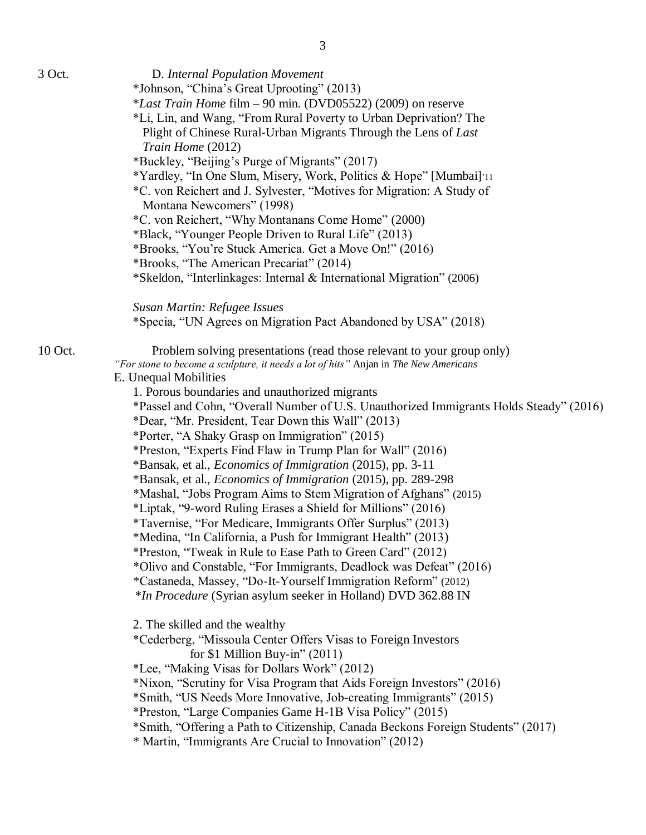| 3 Oct.  | D. Internal Population Movement<br>*Johnson, "China's Great Uprooting" (2013)<br>*Last Train Home film - 90 min. (DVD05522) (2009) on reserve<br>*Li, Lin, and Wang, "From Rural Poverty to Urban Deprivation? The<br>Plight of Chinese Rural-Urban Migrants Through the Lens of Last<br>Train Home (2012)<br>*Buckley, "Beijing's Purge of Migrants" (2017)<br>*Yardley, "In One Slum, Misery, Work, Politics & Hope" [Mumbai]'11 |
|---------|------------------------------------------------------------------------------------------------------------------------------------------------------------------------------------------------------------------------------------------------------------------------------------------------------------------------------------------------------------------------------------------------------------------------------------|
|         | *C. von Reichert and J. Sylvester, "Motives for Migration: A Study of                                                                                                                                                                                                                                                                                                                                                              |
|         | Montana Newcomers" (1998)<br>*C. von Reichert, "Why Montanans Come Home" (2000)                                                                                                                                                                                                                                                                                                                                                    |
|         | *Black, "Younger People Driven to Rural Life" (2013)                                                                                                                                                                                                                                                                                                                                                                               |
|         | *Brooks, "You're Stuck America. Get a Move On!" (2016)                                                                                                                                                                                                                                                                                                                                                                             |
|         | *Brooks, "The American Precariat" (2014)                                                                                                                                                                                                                                                                                                                                                                                           |
|         | *Skeldon, "Interlinkages: Internal & International Migration" (2006)                                                                                                                                                                                                                                                                                                                                                               |
|         | Susan Martin: Refugee Issues                                                                                                                                                                                                                                                                                                                                                                                                       |
|         | *Specia, "UN Agrees on Migration Pact Abandoned by USA" (2018)                                                                                                                                                                                                                                                                                                                                                                     |
| 10 Oct. | Problem solving presentations (read those relevant to your group only)<br>"For stone to become a sculpture, it needs a lot of hits" Anjan in The New Americans<br>E. Unequal Mobilities                                                                                                                                                                                                                                            |
|         | 1. Porous boundaries and unauthorized migrants                                                                                                                                                                                                                                                                                                                                                                                     |
|         | *Passel and Cohn, "Overall Number of U.S. Unauthorized Immigrants Holds Steady" (2016)                                                                                                                                                                                                                                                                                                                                             |
|         | *Dear, "Mr. President, Tear Down this Wall" (2013)                                                                                                                                                                                                                                                                                                                                                                                 |
|         | *Porter, "A Shaky Grasp on Immigration" (2015)<br>*Preston, "Experts Find Flaw in Trump Plan for Wall" (2016)                                                                                                                                                                                                                                                                                                                      |
|         | *Bansak, et al., <i>Economics of Immigration</i> (2015), pp. 3-11                                                                                                                                                                                                                                                                                                                                                                  |
|         | *Bansak, et al., <i>Economics of Immigration</i> (2015), pp. 289-298                                                                                                                                                                                                                                                                                                                                                               |
|         | *Mashal, "Jobs Program Aims to Stem Migration of Afghans" (2015)                                                                                                                                                                                                                                                                                                                                                                   |
|         | *Liptak, "9-word Ruling Erases a Shield for Millions" (2016)                                                                                                                                                                                                                                                                                                                                                                       |
|         | <i>*Tavernise, "For Medicare, Immigrants Offer Surplus" (2013)</i>                                                                                                                                                                                                                                                                                                                                                                 |
|         | *Medina, "In California, a Push for Immigrant Health" (2013)                                                                                                                                                                                                                                                                                                                                                                       |
|         | *Preston, "Tweak in Rule to Ease Path to Green Card" (2012)                                                                                                                                                                                                                                                                                                                                                                        |
|         | *Olivo and Constable, "For Immigrants, Deadlock was Defeat" (2016)                                                                                                                                                                                                                                                                                                                                                                 |
|         | *Castaneda, Massey, "Do-It-Yourself Immigration Reform" (2012)<br>*In Procedure (Syrian asylum seeker in Holland) DVD 362.88 IN                                                                                                                                                                                                                                                                                                    |
|         |                                                                                                                                                                                                                                                                                                                                                                                                                                    |
|         | 2. The skilled and the wealthy                                                                                                                                                                                                                                                                                                                                                                                                     |
|         | *Cederberg, "Missoula Center Offers Visas to Foreign Investors                                                                                                                                                                                                                                                                                                                                                                     |
|         | for \$1 Million Buy-in" $(2011)$                                                                                                                                                                                                                                                                                                                                                                                                   |
|         | *Lee, "Making Visas for Dollars Work" (2012)                                                                                                                                                                                                                                                                                                                                                                                       |
|         | *Nixon, "Scrutiny for Visa Program that Aids Foreign Investors" (2016)<br>*Smith, "US Needs More Innovative, Job-creating Immigrants" (2015)                                                                                                                                                                                                                                                                                       |
|         | *Preston, "Large Companies Game H-1B Visa Policy" (2015)                                                                                                                                                                                                                                                                                                                                                                           |
|         | *Smith, "Offering a Path to Citizenship, Canada Beckons Foreign Students" (2017)                                                                                                                                                                                                                                                                                                                                                   |
|         | * Martin, "Immigrants Are Crucial to Innovation" (2012)                                                                                                                                                                                                                                                                                                                                                                            |
|         |                                                                                                                                                                                                                                                                                                                                                                                                                                    |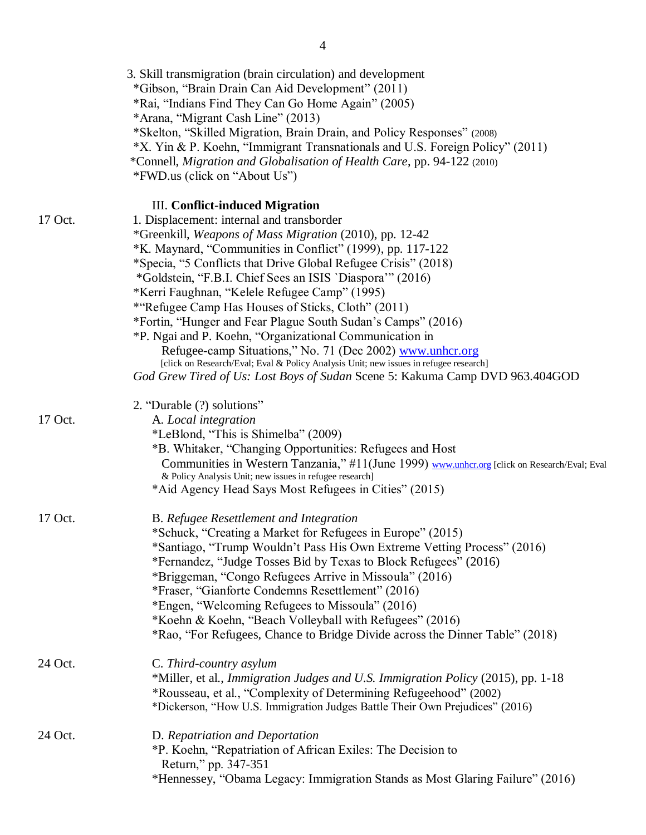|         | 3. Skill transmigration (brain circulation) and development<br>*Gibson, "Brain Drain Can Aid Development" (2011)<br>*Rai, "Indians Find They Can Go Home Again" (2005)<br>*Arana, "Migrant Cash Line" (2013)<br>*Skelton, "Skilled Migration, Brain Drain, and Policy Responses" (2008)<br>*X. Yin & P. Koehn, "Immigrant Transnationals and U.S. Foreign Policy" (2011)<br>*Connell, Migration and Globalisation of Health Care, pp. 94-122 (2010)<br>*FWD.us (click on "About Us") |
|---------|--------------------------------------------------------------------------------------------------------------------------------------------------------------------------------------------------------------------------------------------------------------------------------------------------------------------------------------------------------------------------------------------------------------------------------------------------------------------------------------|
|         | III. Conflict-induced Migration                                                                                                                                                                                                                                                                                                                                                                                                                                                      |
| 17 Oct. | 1. Displacement: internal and transborder<br>*Greenkill, Weapons of Mass Migration (2010), pp. 12-42                                                                                                                                                                                                                                                                                                                                                                                 |
|         | *K. Maynard, "Communities in Conflict" (1999), pp. 117-122<br>*Specia, "5 Conflicts that Drive Global Refugee Crisis" (2018)                                                                                                                                                                                                                                                                                                                                                         |
|         | *Goldstein, "F.B.I. Chief Sees an ISIS `Diaspora'" (2016)                                                                                                                                                                                                                                                                                                                                                                                                                            |
|         | *Kerri Faughnan, "Kelele Refugee Camp" (1995)                                                                                                                                                                                                                                                                                                                                                                                                                                        |
|         | *"Refugee Camp Has Houses of Sticks, Cloth" (2011)                                                                                                                                                                                                                                                                                                                                                                                                                                   |
|         | *Fortin, "Hunger and Fear Plague South Sudan's Camps" (2016)                                                                                                                                                                                                                                                                                                                                                                                                                         |
|         | *P. Ngai and P. Koehn, "Organizational Communication in<br>Refugee-camp Situations," No. 71 (Dec 2002) www.unhcr.org                                                                                                                                                                                                                                                                                                                                                                 |
|         | [click on Research/Eval; Eval & Policy Analysis Unit; new issues in refugee research]                                                                                                                                                                                                                                                                                                                                                                                                |
|         | God Grew Tired of Us: Lost Boys of Sudan Scene 5: Kakuma Camp DVD 963.404GOD                                                                                                                                                                                                                                                                                                                                                                                                         |
|         | 2. "Durable (?) solutions"                                                                                                                                                                                                                                                                                                                                                                                                                                                           |
| 17 Oct. | A. Local integration                                                                                                                                                                                                                                                                                                                                                                                                                                                                 |
|         | *LeBlond, "This is Shimelba" (2009)                                                                                                                                                                                                                                                                                                                                                                                                                                                  |
|         | *B. Whitaker, "Changing Opportunities: Refugees and Host<br>Communities in Western Tanzania," #11(June 1999) www.unhcr.org [click on Research/Eval; Eval                                                                                                                                                                                                                                                                                                                             |
|         | & Policy Analysis Unit; new issues in refugee research]                                                                                                                                                                                                                                                                                                                                                                                                                              |
|         | *Aid Agency Head Says Most Refugees in Cities" (2015)                                                                                                                                                                                                                                                                                                                                                                                                                                |
| 17 Oct. | B. Refugee Resettlement and Integration                                                                                                                                                                                                                                                                                                                                                                                                                                              |
|         | *Schuck, "Creating a Market for Refugees in Europe" (2015)                                                                                                                                                                                                                                                                                                                                                                                                                           |
|         | *Santiago, "Trump Wouldn't Pass His Own Extreme Vetting Process" (2016)<br>*Fernandez, "Judge Tosses Bid by Texas to Block Refugees" (2016)                                                                                                                                                                                                                                                                                                                                          |
|         | *Briggeman, "Congo Refugees Arrive in Missoula" (2016)                                                                                                                                                                                                                                                                                                                                                                                                                               |
|         | *Fraser, "Gianforte Condemns Resettlement" (2016)                                                                                                                                                                                                                                                                                                                                                                                                                                    |
|         | *Engen, "Welcoming Refugees to Missoula" (2016)                                                                                                                                                                                                                                                                                                                                                                                                                                      |
|         | *Koehn & Koehn, "Beach Volleyball with Refugees" (2016)                                                                                                                                                                                                                                                                                                                                                                                                                              |
|         | *Rao, "For Refugees, Chance to Bridge Divide across the Dinner Table" (2018)                                                                                                                                                                                                                                                                                                                                                                                                         |
| 24 Oct. | C. Third-country asylum                                                                                                                                                                                                                                                                                                                                                                                                                                                              |
|         | *Miller, et al., Immigration Judges and U.S. Immigration Policy (2015), pp. 1-18                                                                                                                                                                                                                                                                                                                                                                                                     |
|         | *Rousseau, et al., "Complexity of Determining Refugeehood" (2002)<br>*Dickerson, "How U.S. Immigration Judges Battle Their Own Prejudices" (2016)                                                                                                                                                                                                                                                                                                                                    |
|         |                                                                                                                                                                                                                                                                                                                                                                                                                                                                                      |
| 24 Oct. | D. Repatriation and Deportation                                                                                                                                                                                                                                                                                                                                                                                                                                                      |
|         | *P. Koehn, "Repatriation of African Exiles: The Decision to<br>Return," pp. 347-351                                                                                                                                                                                                                                                                                                                                                                                                  |
|         | *Hennessey, "Obama Legacy: Immigration Stands as Most Glaring Failure" (2016)                                                                                                                                                                                                                                                                                                                                                                                                        |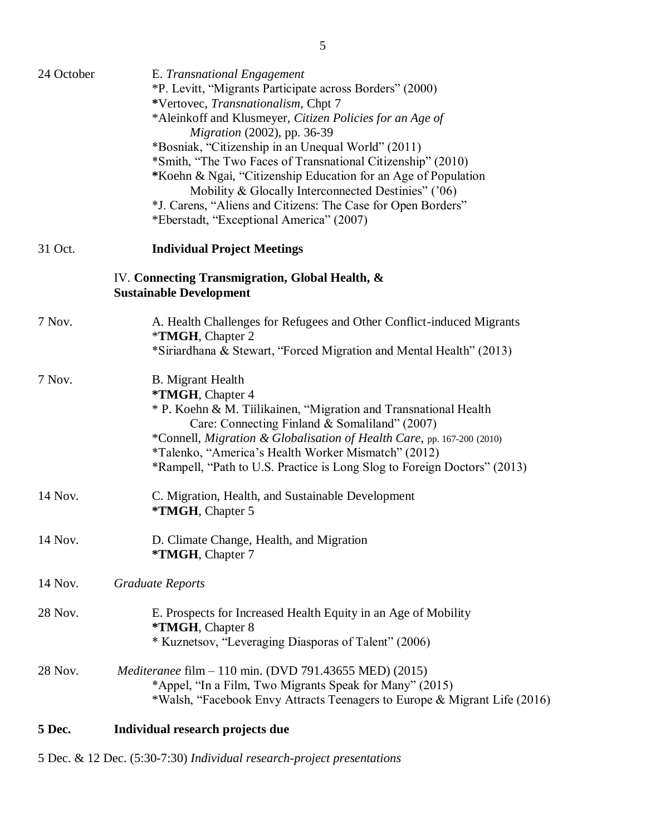| 24 October | E. Transnational Engagement<br>*P. Levitt, "Migrants Participate across Borders" (2000)<br>*Vertovec, Transnationalism, Chpt 7<br>*Aleinkoff and Klusmeyer, Citizen Policies for an Age of<br>Migration (2002), pp. 36-39<br>*Bosniak, "Citizenship in an Unequal World" (2011)<br>*Smith, "The Two Faces of Transnational Citizenship" (2010)<br>*Koehn & Ngai, "Citizenship Education for an Age of Population<br>Mobility & Glocally Interconnected Destinies" ('06)<br>*J. Carens, "Aliens and Citizens: The Case for Open Borders"<br>*Eberstadt, "Exceptional America" (2007) |
|------------|-------------------------------------------------------------------------------------------------------------------------------------------------------------------------------------------------------------------------------------------------------------------------------------------------------------------------------------------------------------------------------------------------------------------------------------------------------------------------------------------------------------------------------------------------------------------------------------|
| 31 Oct.    | <b>Individual Project Meetings</b>                                                                                                                                                                                                                                                                                                                                                                                                                                                                                                                                                  |
|            | IV. Connecting Transmigration, Global Health, &<br><b>Sustainable Development</b>                                                                                                                                                                                                                                                                                                                                                                                                                                                                                                   |
| 7 Nov.     | A. Health Challenges for Refugees and Other Conflict-induced Migrants<br>*TMGH, Chapter 2<br>*Siriardhana & Stewart, "Forced Migration and Mental Health" (2013)                                                                                                                                                                                                                                                                                                                                                                                                                    |
| 7 Nov.     | <b>B.</b> Migrant Health<br>*TMGH, Chapter 4<br>* P. Koehn & M. Tiilikainen, "Migration and Transnational Health<br>Care: Connecting Finland & Somaliland" (2007)<br>*Connell, Migration & Globalisation of Health Care, pp. 167-200 (2010)<br>*Talenko, "America's Health Worker Mismatch" (2012)<br>*Rampell, "Path to U.S. Practice is Long Slog to Foreign Doctors" (2013)                                                                                                                                                                                                      |
| 14 Nov.    | C. Migration, Health, and Sustainable Development<br>*TMGH, Chapter 5                                                                                                                                                                                                                                                                                                                                                                                                                                                                                                               |
| 14 Nov.    | D. Climate Change, Health, and Migration<br>*TMGH, Chapter 7                                                                                                                                                                                                                                                                                                                                                                                                                                                                                                                        |
| 14 Nov.    | <b>Graduate Reports</b>                                                                                                                                                                                                                                                                                                                                                                                                                                                                                                                                                             |
| 28 Nov.    | E. Prospects for Increased Health Equity in an Age of Mobility<br>*TMGH, Chapter 8<br>* Kuznetsov, "Leveraging Diasporas of Talent" (2006)                                                                                                                                                                                                                                                                                                                                                                                                                                          |
| 28 Nov.    | <i>Mediteranee</i> film – 110 min. (DVD 791.43655 MED) (2015)<br>*Appel, "In a Film, Two Migrants Speak for Many" (2015)<br>*Walsh, "Facebook Envy Attracts Teenagers to Europe & Migrant Life (2016)                                                                                                                                                                                                                                                                                                                                                                               |

## **5 Dec. Individual research projects due**

5 Dec. & 12 Dec. (5:30-7:30) *Individual research-project presentations*